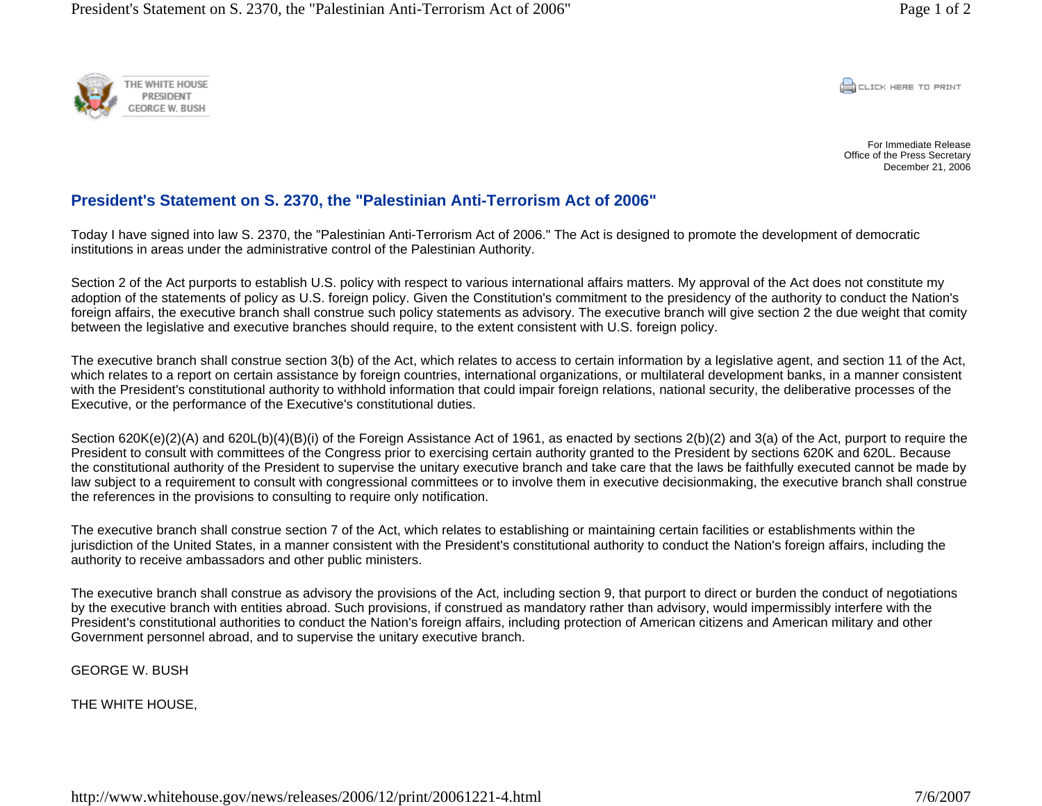

**CONCRETE PRINT** 

For Immediate Release Office of the Press Secretary December 21, 2006

## **President's Statement on S. 2370, the "Palestinian Anti-Terrorism Act of 2006"**

Today I have signed into law S. 2370, the "Palestinian Anti-Terrorism Act of 2006." The Act is designed to promote the development of democratic institutions in areas under the administrative control of the Palestinian Authority.

Section 2 of the Act purports to establish U.S. policy with respect to various international affairs matters. My approval of the Act does not constitute my adoption of the statements of policy as U.S. foreign policy. Given the Constitution's commitment to the presidency of the authority to conduct the Nation's foreign affairs, the executive branch shall construe such policy statements as advisory. The executive branch will give section 2 the due weight that comity between the legislative and executive branches should require, to the extent consistent with U.S. foreign policy.

The executive branch shall construe section 3(b) of the Act, which relates to access to certain information by a legislative agent, and section 11 of the Act, which relates to a report on certain assistance by foreign countries, international organizations, or multilateral development banks, in a manner consistent with the President's constitutional authority to withhold information that could impair foreign relations, national security, the deliberative processes of the Executive, or the performance of the Executive's constitutional duties.

Section 620K(e)(2)(A) and 620L(b)(4)(B)(i) of the Foreign Assistance Act of 1961, as enacted by sections 2(b)(2) and 3(a) of the Act, purport to require the President to consult with committees of the Congress prior to exercising certain authority granted to the President by sections 620K and 620L. Because the constitutional authority of the President to supervise the unitary executive branch and take care that the laws be faithfully executed cannot be made by law subject to a requirement to consult with congressional committees or to involve them in executive decisionmaking, the executive branch shall construe the references in the provisions to consulting to require only notification.

The executive branch shall construe section 7 of the Act, which relates to establishing or maintaining certain facilities or establishments within the jurisdiction of the United States, in a manner consistent with the President's constitutional authority to conduct the Nation's foreign affairs, including the authority to receive ambassadors and other public ministers.

The executive branch shall construe as advisory the provisions of the Act, including section 9, that purport to direct or burden the conduct of negotiations by the executive branch with entities abroad. Such provisions, if construed as mandatory rather than advisory, would impermissibly interfere with the President's constitutional authorities to conduct the Nation's foreign affairs, including protection of American citizens and American military and other Government personnel abroad, and to supervise the unitary executive branch.

GEORGE W. BUSH

THE WHITE HOUSE,